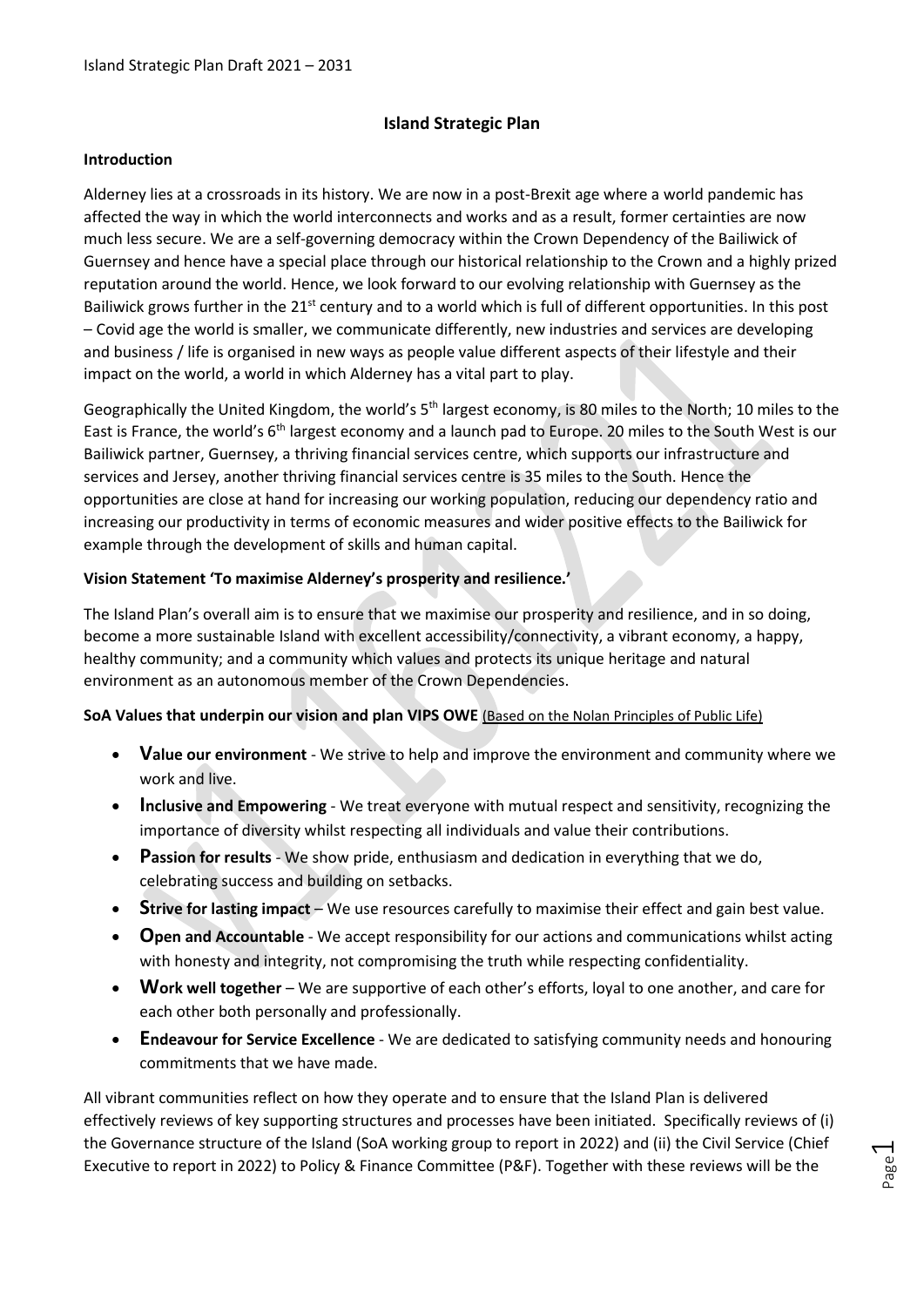#### **Island Strategic Plan**

#### **Introduction**

Alderney lies at a crossroads in its history. We are now in a post-Brexit age where a world pandemic has affected the way in which the world interconnects and works and as a result, former certainties are now much less secure. We are a self-governing democracy within the Crown Dependency of the Bailiwick of Guernsey and hence have a special place through our historical relationship to the Crown and a highly prized reputation around the world. Hence, we look forward to our evolving relationship with Guernsey as the Bailiwick grows further in the 21<sup>st</sup> century and to a world which is full of different opportunities. In this post – Covid age the world is smaller, we communicate differently, new industries and services are developing and business / life is organised in new ways as people value different aspects of their lifestyle and their impact on the world, a world in which Alderney has a vital part to play.

Geographically the United Kingdom, the world's  $5<sup>th</sup>$  largest economy, is 80 miles to the North; 10 miles to the East is France, the world's 6<sup>th</sup> largest economy and a launch pad to Europe. 20 miles to the South West is our Bailiwick partner, Guernsey, a thriving financial services centre, which supports our infrastructure and services and Jersey, another thriving financial services centre is 35 miles to the South. Hence the opportunities are close at hand for increasing our working population, reducing our dependency ratio and increasing our productivity in terms of economic measures and wider positive effects to the Bailiwick for example through the development of skills and human capital.

#### **Vision Statement 'To maximise Alderney's prosperity and resilience.'**

The Island Plan's overall aim is to ensure that we maximise our prosperity and resilience, and in so doing, become a more sustainable Island with excellent accessibility/connectivity, a vibrant economy, a happy, healthy community; and a community which values and protects its unique heritage and natural environment as an autonomous member of the Crown Dependencies.

#### **SoA Values that underpin our vision and plan VIPS OWE** [\(Based on the Nolan Principles of Public Life\)](https://www.gov.uk/government/publications/the-7-principles-of-public-life)

- **Value our environment** We strive to help and improve the environment and community where we work and live.
- **Inclusive and Empowering** We treat everyone with mutual respect and sensitivity, recognizing the importance of diversity whilst respecting all individuals and value their contributions.
- **Passion for results** We show pride, enthusiasm and dedication in everything that we do, celebrating success and building on setbacks.
- **Strive for lasting impact** We use resources carefully to maximise their effect and gain best value.
- **Open and Accountable** We accept responsibility for our actions and communications whilst acting with honesty and integrity, not compromising the truth while respecting confidentiality.
- **Work well together** We are supportive of each other's efforts, loyal to one another, and care for each other both personally and professionally.
- **Endeavour for Service Excellence** We are dedicated to satisfying community needs and honouring commitments that we have made.

All vibrant communities reflect on how they operate and to ensure that the Island Plan is delivered effectively reviews of key supporting structures and processes have been initiated. Specifically reviews of (i) the Governance structure of the Island (SoA working group to report in 2022) and (ii) the Civil Service (Chief Executive to report in 2022) to Policy & Finance Committee (P&F). Together with these reviews will be the

Page  $\overline{\phantom{0}}$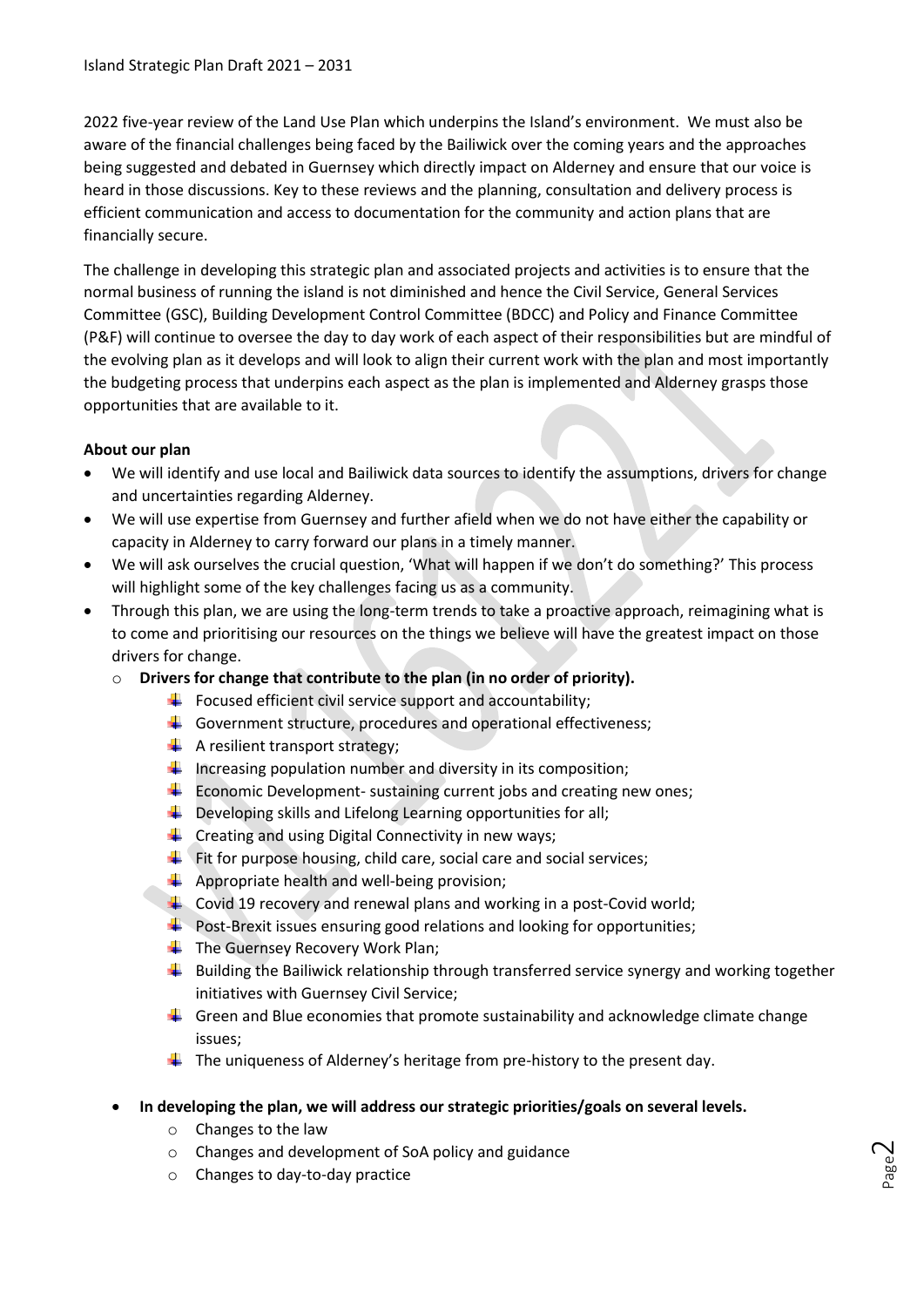2022 five-year review of the Land Use Plan which underpins the Island's environment. We must also be aware of the financial challenges being faced by the Bailiwick over the coming years and the approaches being suggested and debated in Guernsey which directly impact on Alderney and ensure that our voice is heard in those discussions. Key to these reviews and the planning, consultation and delivery process is efficient communication and access to documentation for the community and action plans that are financially secure.

The challenge in developing this strategic plan and associated projects and activities is to ensure that the normal business of running the island is not diminished and hence the Civil Service, General Services Committee (GSC), Building Development Control Committee (BDCC) and Policy and Finance Committee (P&F) will continue to oversee the day to day work of each aspect of their responsibilities but are mindful of the evolving plan as it develops and will look to align their current work with the plan and most importantly the budgeting process that underpins each aspect as the plan is implemented and Alderney grasps those opportunities that are available to it.

#### **About our plan**

- We will identify and use local and Bailiwick data sources to identify the assumptions, drivers for change and uncertainties regarding Alderney.
- We will use expertise from Guernsey and further afield when we do not have either the capability or capacity in Alderney to carry forward our plans in a timely manner.
- We will ask ourselves the crucial question, 'What will happen if we don't do something?' This process will highlight some of the key challenges facing us as a community.
- Through this plan, we are using the long-term trends to take a proactive approach, reimagining what is to come and prioritising our resources on the things we believe will have the greatest impact on those drivers for change.
	- o **Drivers for change that contribute to the plan (in no order of priority).**
		- $\ddot{\phantom{a}}$  Focused efficient civil service support and accountability;
		- Government structure, procedures and operational effectiveness:
		- $\leftarrow$  A resilient transport strategy;
		- $\downarrow$  Increasing population number and diversity in its composition;
		- $\ddot{+}$  Economic Development- sustaining current jobs and creating new ones;
		- $\downarrow$  Developing skills and Lifelong Learning opportunities for all;
		- $\leftarrow$  Creating and using Digital Connectivity in new ways;
		- $\overline{\phantom{a} \bullet}$  Fit for purpose housing, child care, social care and social services;
		- $\downarrow$  Appropriate health and well-being provision;
		- $\ddot{\phantom{1}}$  Covid 19 recovery and renewal plans and working in a post-Covid world;
		- $\ddot{\bullet}$  Post-Brexit issues ensuring good relations and looking for opportunities;
		- $\leftarrow$  The Guernsey Recovery Work Plan;
		- $\ddot{\phantom{1}}$  Building the Bailiwick relationship through transferred service synergy and working together initiatives with Guernsey Civil Service;

Page  $\sim$ 

- $\ddot{+}$  Green and Blue economies that promote sustainability and acknowledge climate change issues;
- $\ddot{+}$  The uniqueness of Alderney's heritage from pre-history to the present day.
- **In developing the plan, we will address our strategic priorities/goals on several levels.**
	- o Changes to the law
	- o Changes and development of SoA policy and guidance
	- o Changes to day-to-day practice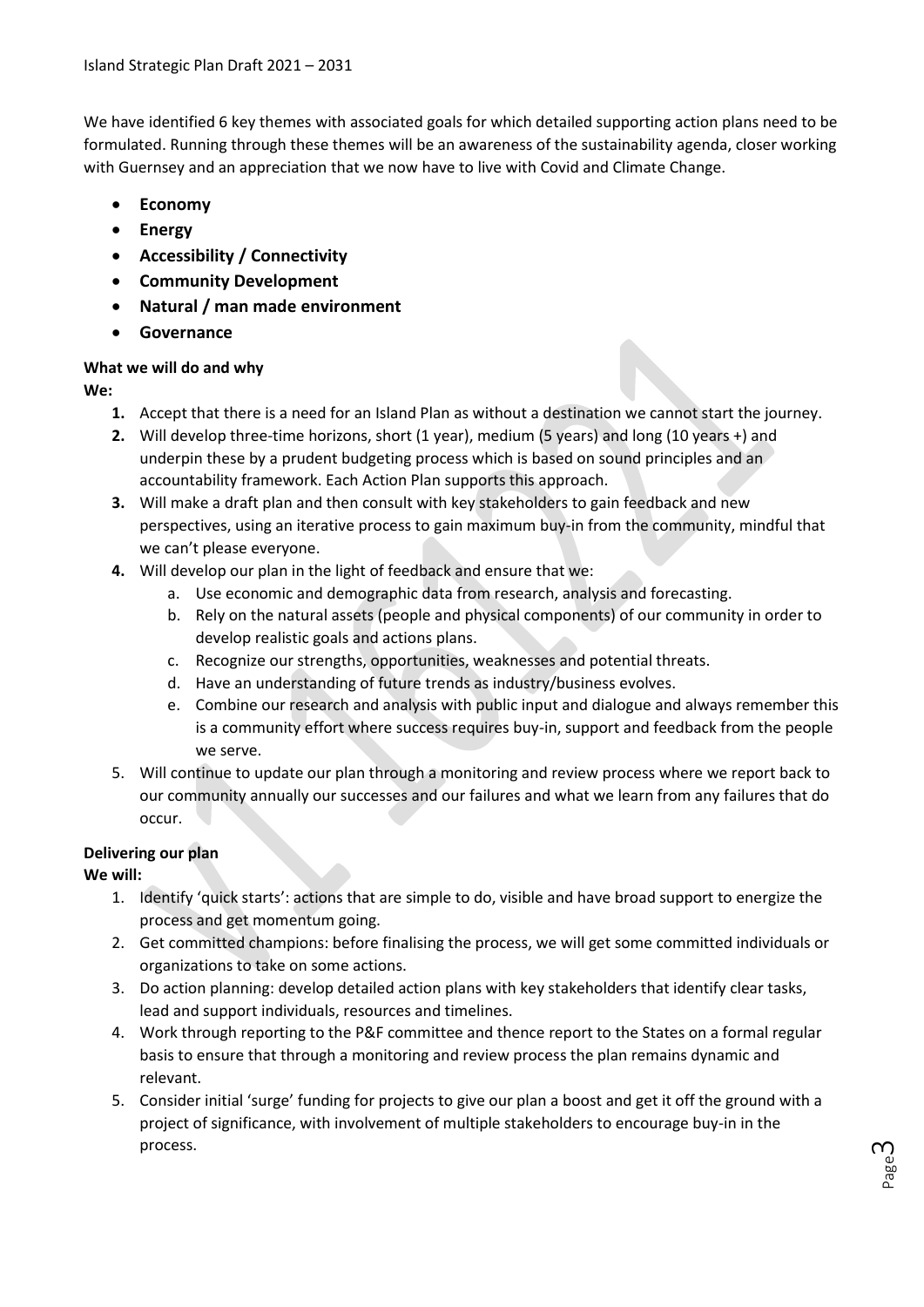We have identified 6 key themes with associated goals for which detailed supporting action plans need to be formulated. Running through these themes will be an awareness of the sustainability agenda, closer working with Guernsey and an appreciation that we now have to live with Covid and Climate Change.

- **Economy**
- **Energy**
- **Accessibility / Connectivity**
- **Community Development**
- **Natural / man made environment**
- **Governance**

#### **What we will do and why**

**We:**

- **1.** Accept that there is a need for an Island Plan as without a destination we cannot start the journey.
- **2.** Will develop three-time horizons, short (1 year), medium (5 years) and long (10 years +) and underpin these by a prudent budgeting process which is based on sound principles and an accountability framework. Each Action Plan supports this approach.
- **3.** Will make a draft plan and then consult with key stakeholders to gain feedback and new perspectives, using an iterative process to gain maximum buy-in from the community, mindful that we can't please everyone.
- **4.** Will develop our plan in the light of feedback and ensure that we:
	- a. Use economic and demographic data from research, analysis and forecasting.
	- b. Rely on the natural assets (people and physical components) of our community in order to develop realistic goals and actions plans.
	- c. Recognize our strengths, opportunities, weaknesses and potential threats.
	- d. Have an understanding of future trends as industry/business evolves.
	- e. Combine our research and analysis with public input and dialogue and always remember this is a community effort where success requires buy-in, support and feedback from the people we serve.
- 5. Will continue to update our plan through a monitoring and review process where we report back to our community annually our successes and our failures and what we learn from any failures that do occur.

#### **Delivering our plan**

#### **We will:**

- 1. Identify 'quick starts': actions that are simple to do, visible and have broad support to energize the process and get momentum going.
- 2. Get committed champions: before finalising the process, we will get some committed individuals or organizations to take on some actions.
- 3. Do action planning: develop detailed action plans with key stakeholders that identify clear tasks, lead and support individuals, resources and timelines.
- 4. Work through reporting to the P&F committee and thence report to the States on a formal regular basis to ensure that through a monitoring and review process the plan remains dynamic and relevant.
- 5. Consider initial 'surge' funding for projects to give our plan a boost and get it off the ground with a project of significance, with involvement of multiple stakeholders to encourage buy-in in the process.

Page ന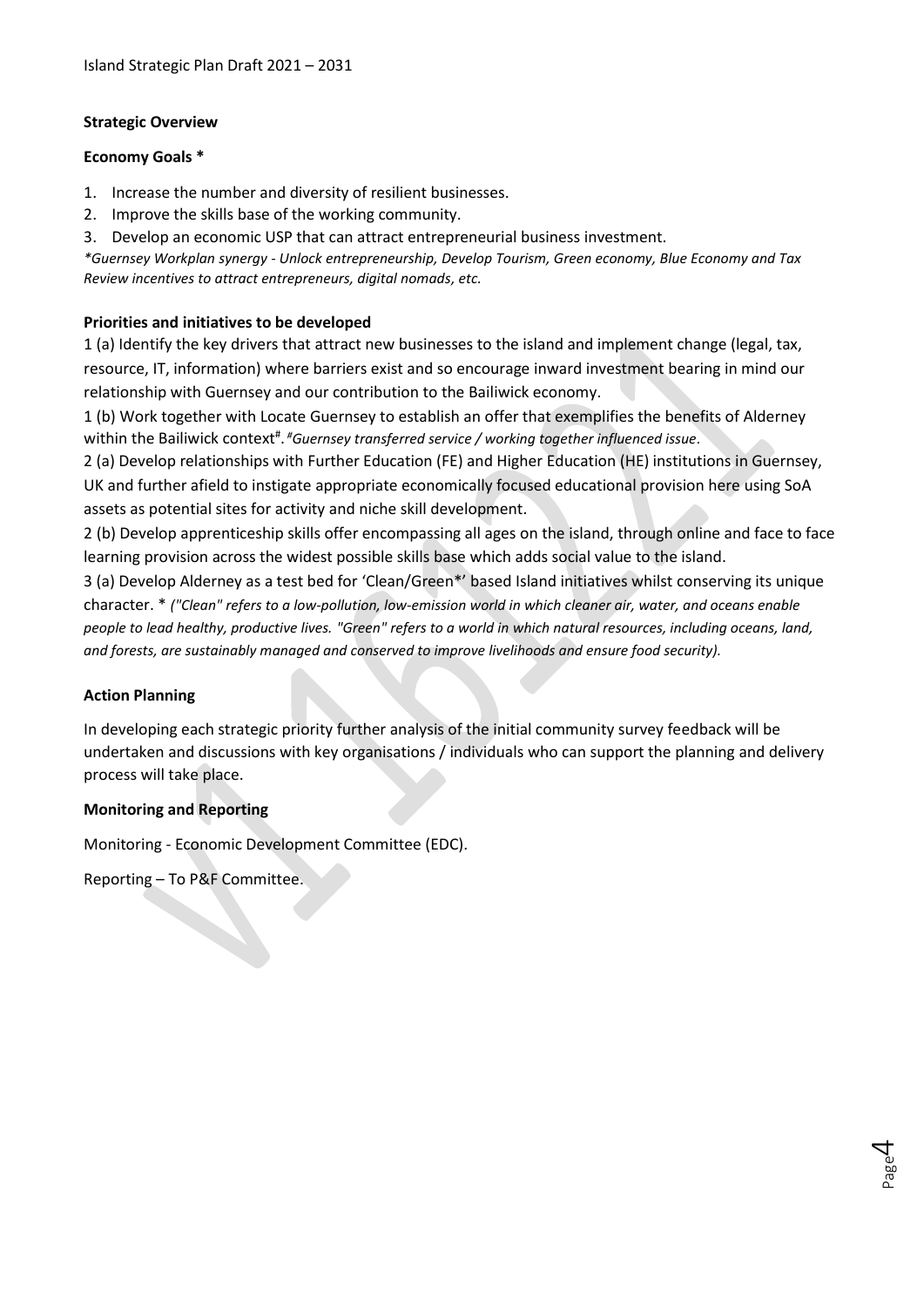#### **Strategic Overview**

#### **Economy Goals \***

- 1. Increase the number and diversity of resilient businesses.
- 2. Improve the skills base of the working community.
- 3. Develop an economic USP that can attract entrepreneurial business investment.

*\*Guernsey Workplan synergy - Unlock entrepreneurship, Develop Tourism, Green economy, Blue Economy and Tax Review incentives to attract entrepreneurs, digital nomads, etc.*

#### **Priorities and initiatives to be developed**

1 (a) Identify the key drivers that attract new businesses to the island and implement change (legal, tax, resource, IT, information) where barriers exist and so encourage inward investment bearing in mind our relationship with Guernsey and our contribution to the Bailiwick economy.

1 (b) Work together with Locate Guernsey to establish an offer that exemplifies the benefits of Alderney within the Bailiwick context<sup>#</sup>. <sup>#</sup>Guernsey transferred service / working together influenced issue.

2 (a) Develop relationships with Further Education (FE) and Higher Education (HE) institutions in Guernsey, UK and further afield to instigate appropriate economically focused educational provision here using SoA assets as potential sites for activity and niche skill development.

2 (b) Develop apprenticeship skills offer encompassing all ages on the island, through online and face to face learning provision across the widest possible skills base which adds social value to the island.

3 (a) Develop Alderney as a test bed for 'Clean/Green\*' based Island initiatives whilst conserving its unique character. \* *("Clean" refers to a low-pollution, low-emission world in which cleaner air, water, and oceans enable people to lead healthy, productive lives. "Green" refers to a world in which natural resources, including oceans, land, and forests, are sustainably managed and conserved to improve livelihoods and ensure food security).*

#### **Action Planning**

In developing each strategic priority further analysis of the initial community survey feedback will be undertaken and discussions with key organisations / individuals who can support the planning and delivery process will take place.

> Page 4

#### **Monitoring and Reporting**

Monitoring - Economic Development Committee (EDC).

Reporting – To P&F Committee.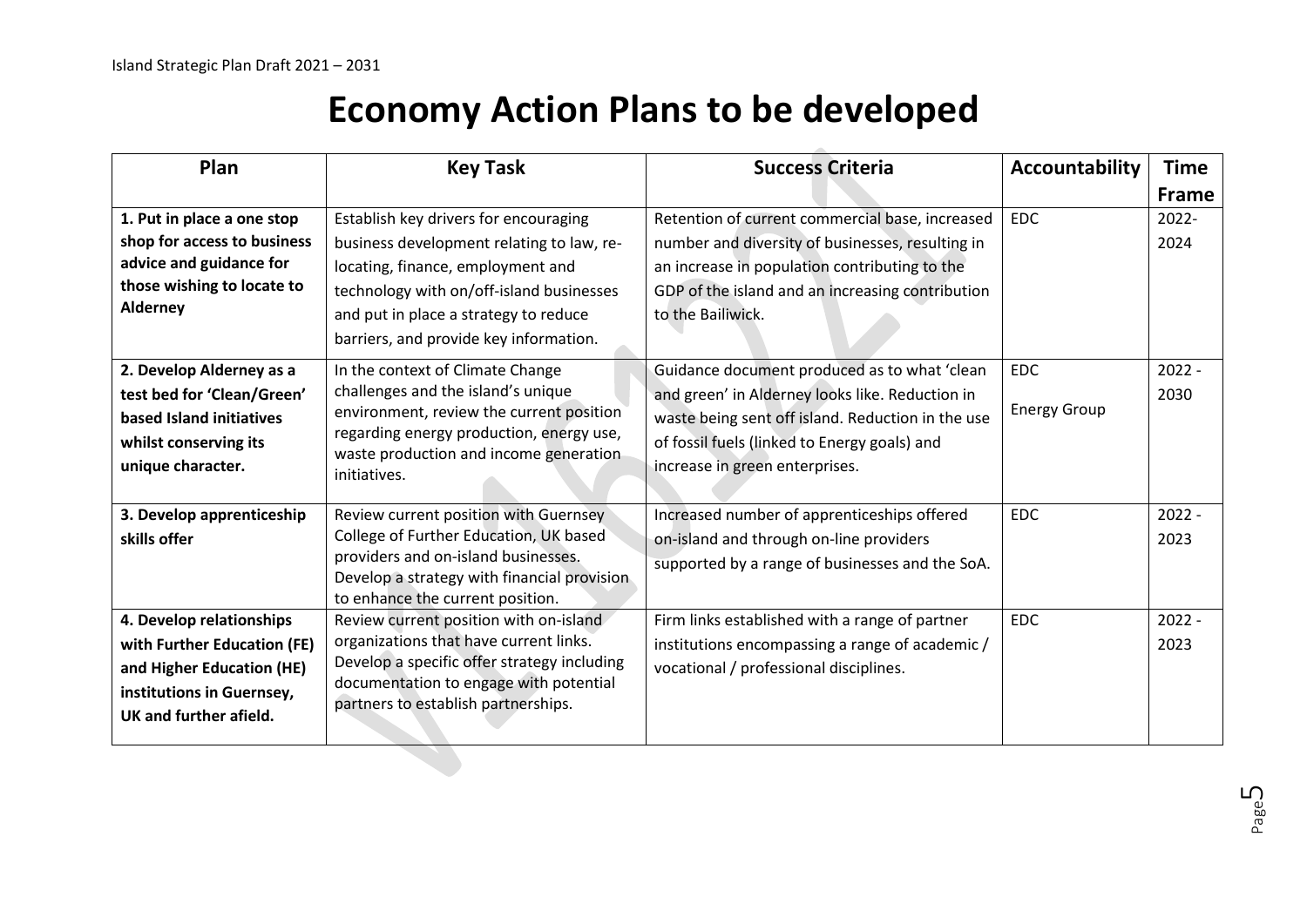## **Economy Action Plans to be developed**

| Plan                                                                                                                                        | <b>Key Task</b>                                                                                                                                                                                                                                        | <b>Success Criteria</b>                                                                                                                                                                                                                | Accountability                    | <b>Time</b>      |
|---------------------------------------------------------------------------------------------------------------------------------------------|--------------------------------------------------------------------------------------------------------------------------------------------------------------------------------------------------------------------------------------------------------|----------------------------------------------------------------------------------------------------------------------------------------------------------------------------------------------------------------------------------------|-----------------------------------|------------------|
|                                                                                                                                             |                                                                                                                                                                                                                                                        |                                                                                                                                                                                                                                        |                                   | <b>Frame</b>     |
| 1. Put in place a one stop<br>shop for access to business<br>advice and guidance for<br>those wishing to locate to<br>Alderney              | Establish key drivers for encouraging<br>business development relating to law, re-<br>locating, finance, employment and<br>technology with on/off-island businesses<br>and put in place a strategy to reduce<br>barriers, and provide key information. | Retention of current commercial base, increased<br>number and diversity of businesses, resulting in<br>an increase in population contributing to the<br>GDP of the island and an increasing contribution<br>to the Bailiwick.          | <b>EDC</b>                        | 2022-<br>2024    |
| 2. Develop Alderney as a<br>test bed for 'Clean/Green'<br>based Island initiatives<br>whilst conserving its<br>unique character.            | In the context of Climate Change<br>challenges and the island's unique<br>environment, review the current position<br>regarding energy production, energy use,<br>waste production and income generation<br>initiatives.                               | Guidance document produced as to what 'clean<br>and green' in Alderney looks like. Reduction in<br>waste being sent off island. Reduction in the use<br>of fossil fuels (linked to Energy goals) and<br>increase in green enterprises. | <b>EDC</b><br><b>Energy Group</b> | $2022 -$<br>2030 |
| 3. Develop apprenticeship<br>skills offer                                                                                                   | Review current position with Guernsey<br>College of Further Education, UK based<br>providers and on-island businesses.<br>Develop a strategy with financial provision<br>to enhance the current position.                                              | Increased number of apprenticeships offered<br>on-island and through on-line providers<br>supported by a range of businesses and the SoA.                                                                                              | <b>EDC</b>                        | $2022 -$<br>2023 |
| 4. Develop relationships<br>with Further Education (FE)<br>and Higher Education (HE)<br>institutions in Guernsey,<br>UK and further afield. | Review current position with on-island<br>organizations that have current links.<br>Develop a specific offer strategy including<br>documentation to engage with potential<br>partners to establish partnerships.                                       | Firm links established with a range of partner<br>institutions encompassing a range of academic /<br>vocational / professional disciplines.                                                                                            | <b>EDC</b>                        | $2022 -$<br>2023 |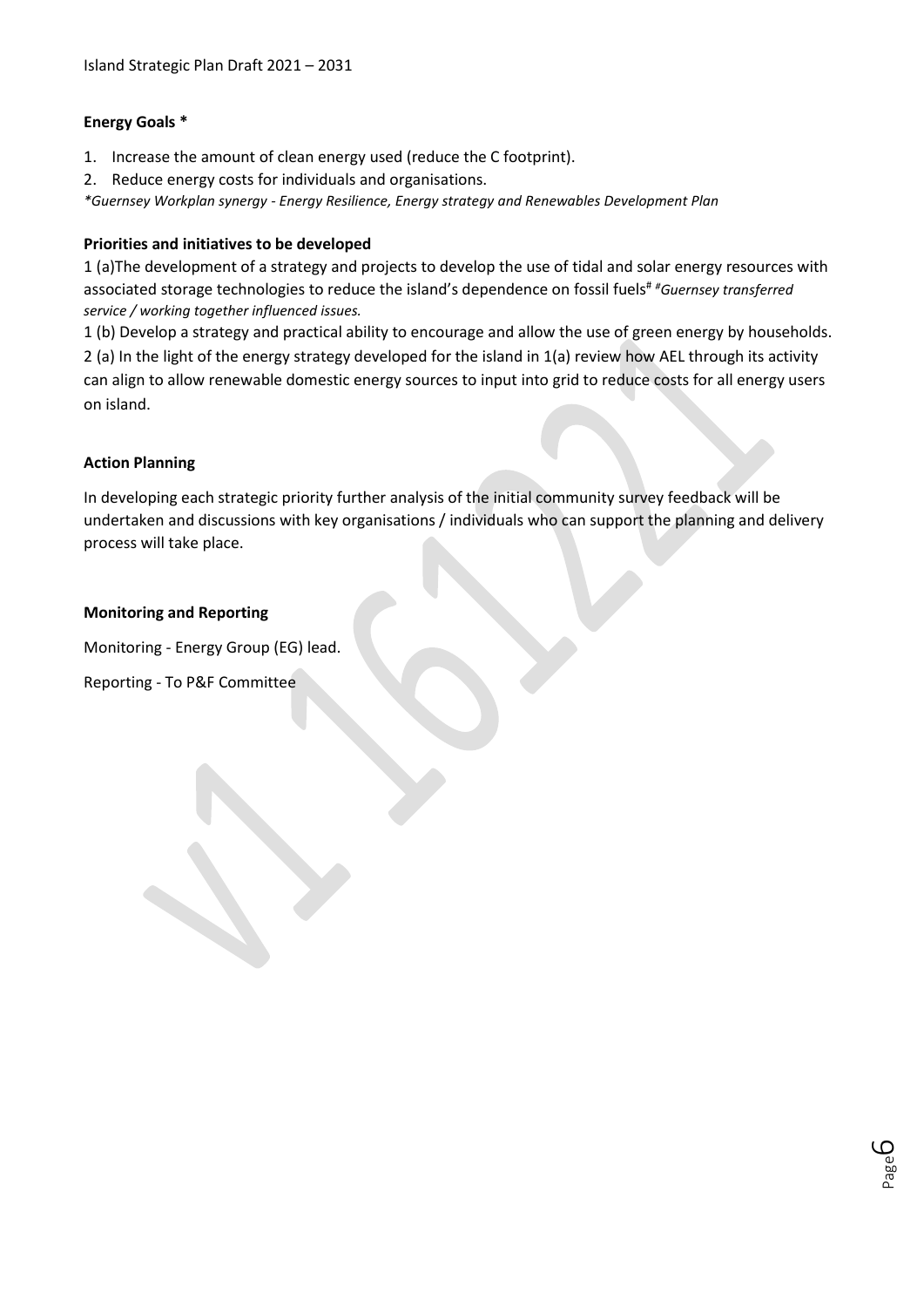#### **Energy Goals \***

- 1. Increase the amount of clean energy used (reduce the C footprint).
- 2. Reduce energy costs for individuals and organisations.

*\*Guernsey Workplan synergy - Energy Resilience, Energy strategy and Renewables Development Plan*

#### **Priorities and initiatives to be developed**

1 (a)The development of a strategy and projects to develop the use of tidal and solar energy resources with associated storage technologies to reduce the island's dependence on fossil fuels# *#Guernsey transferred service / working together influenced issues.*

1 (b) Develop a strategy and practical ability to encourage and allow the use of green energy by households. 2 (a) In the light of the energy strategy developed for the island in 1(a) review how AEL through its activity can align to allow renewable domestic energy sources to input into grid to reduce costs for all energy users on island.

#### **Action Planning**

In developing each strategic priority further analysis of the initial community survey feedback will be undertaken and discussions with key organisations / individuals who can support the planning and delivery process will take place.

#### **Monitoring and Reporting**

Monitoring - Energy Group (EG) lead.

Reporting - To P&F Committee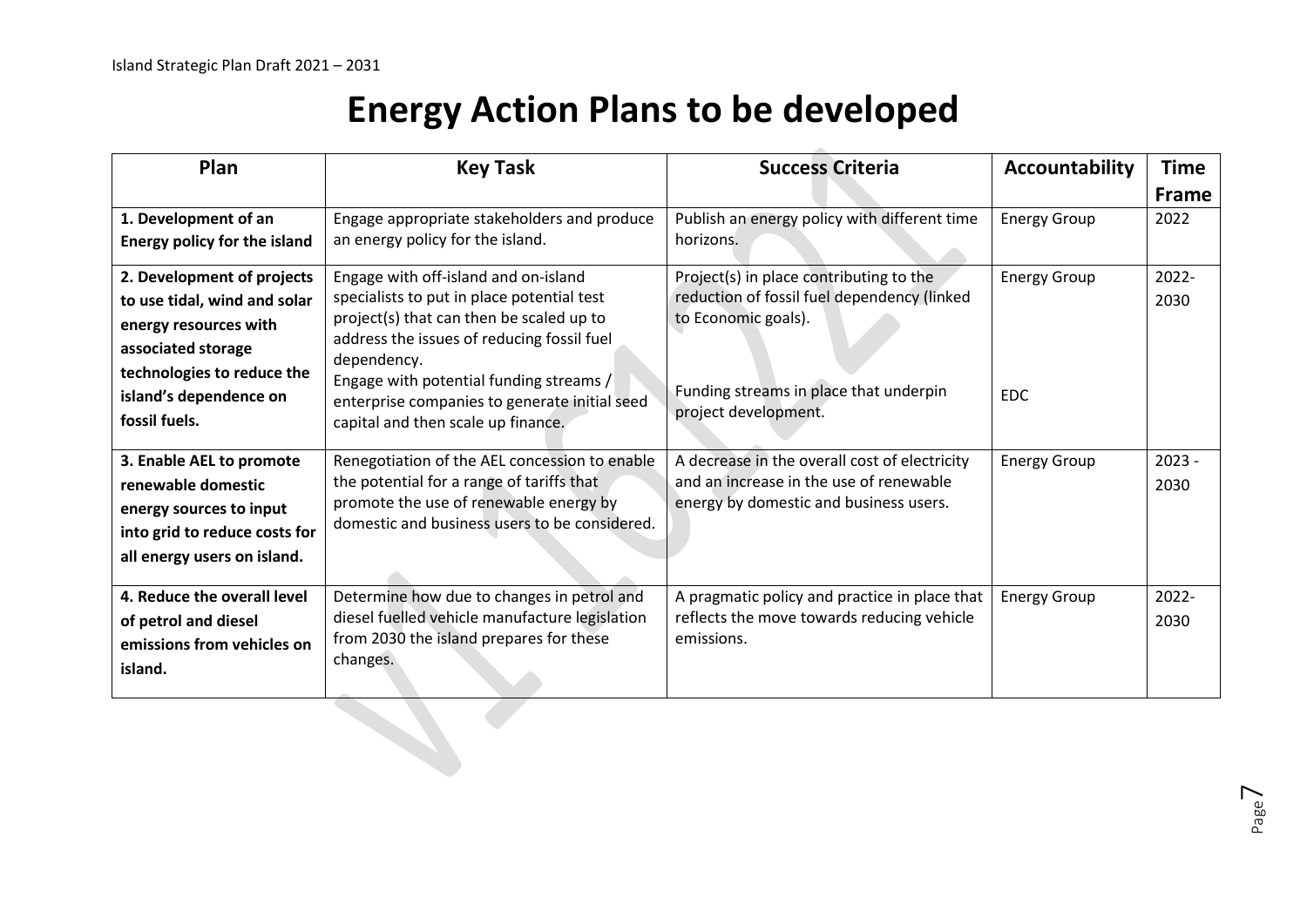# **Energy Action Plans to be developed**

| Plan                                                                                                                                                                               | <b>Key Task</b>                                                                                                                                                                                                                                                                                                               | <b>Success Criteria</b>                                                                                                                                                         | Accountability                    | <b>Time</b><br><b>Frame</b> |
|------------------------------------------------------------------------------------------------------------------------------------------------------------------------------------|-------------------------------------------------------------------------------------------------------------------------------------------------------------------------------------------------------------------------------------------------------------------------------------------------------------------------------|---------------------------------------------------------------------------------------------------------------------------------------------------------------------------------|-----------------------------------|-----------------------------|
| 1. Development of an<br><b>Energy policy for the island</b>                                                                                                                        | Engage appropriate stakeholders and produce<br>an energy policy for the island.                                                                                                                                                                                                                                               | Publish an energy policy with different time<br>horizons.                                                                                                                       | <b>Energy Group</b>               | 2022                        |
| 2. Development of projects<br>to use tidal, wind and solar<br>energy resources with<br>associated storage<br>technologies to reduce the<br>island's dependence on<br>fossil fuels. | Engage with off-island and on-island<br>specialists to put in place potential test<br>project(s) that can then be scaled up to<br>address the issues of reducing fossil fuel<br>dependency.<br>Engage with potential funding streams /<br>enterprise companies to generate initial seed<br>capital and then scale up finance. | Project(s) in place contributing to the<br>reduction of fossil fuel dependency (linked<br>to Economic goals).<br>Funding streams in place that underpin<br>project development. | <b>Energy Group</b><br><b>EDC</b> | 2022-<br>2030               |
| 3. Enable AEL to promote<br>renewable domestic<br>energy sources to input<br>into grid to reduce costs for<br>all energy users on island.                                          | Renegotiation of the AEL concession to enable<br>the potential for a range of tariffs that<br>promote the use of renewable energy by<br>domestic and business users to be considered.                                                                                                                                         | A decrease in the overall cost of electricity<br>and an increase in the use of renewable<br>energy by domestic and business users.                                              | <b>Energy Group</b>               | $2023 -$<br>2030            |
| 4. Reduce the overall level<br>of petrol and diesel<br>emissions from vehicles on<br>island.                                                                                       | Determine how due to changes in petrol and<br>diesel fuelled vehicle manufacture legislation<br>from 2030 the island prepares for these<br>changes.                                                                                                                                                                           | A pragmatic policy and practice in place that<br>reflects the move towards reducing vehicle<br>emissions.                                                                       | <b>Energy Group</b>               | 2022-<br>2030               |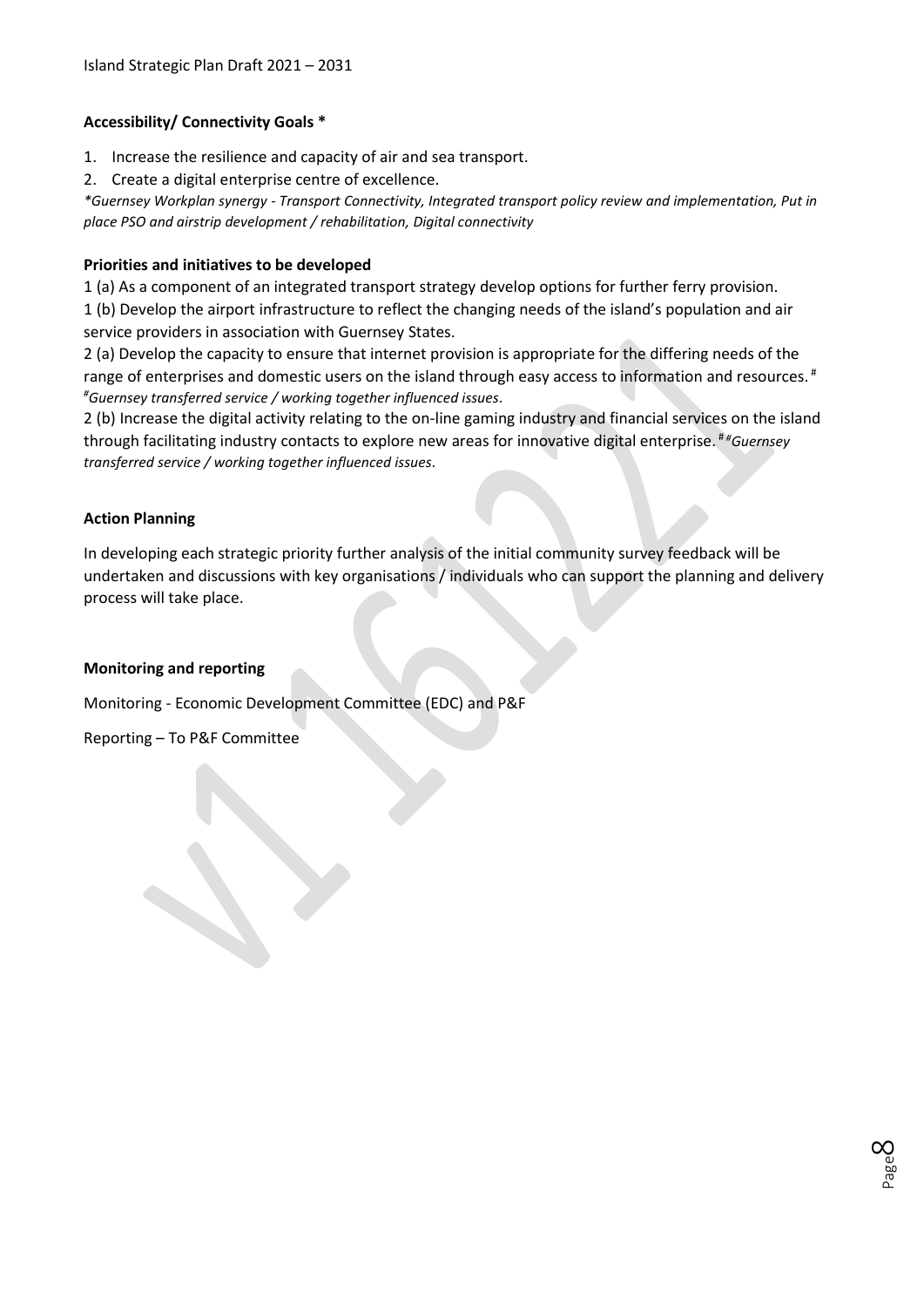#### **Accessibility/ Connectivity Goals \***

- 1. Increase the resilience and capacity of air and sea transport.
- 2. Create a digital enterprise centre of excellence.

*\*Guernsey Workplan synergy - Transport Connectivity, Integrated transport policy review and implementation, Put in place PSO and airstrip development / rehabilitation, Digital connectivity*

#### **Priorities and initiatives to be developed**

1 (a) As a component of an integrated transport strategy develop options for further ferry provision.

1 (b) Develop the airport infrastructure to reflect the changing needs of the island's population and air service providers in association with Guernsey States.

2 (a) Develop the capacity to ensure that internet provision is appropriate for the differing needs of the range of enterprises and domestic users on the island through easy access to information and resources.<sup>#</sup> *#Guernsey transferred service / working together influenced issues.*

2 (b) Increase the digital activity relating to the on-line gaming industry and financial services on the island through facilitating industry contacts to explore new areas for innovative digital enterprise. # *#Guernsey transferred service / working together influenced issues.*

#### **Action Planning**

In developing each strategic priority further analysis of the initial community survey feedback will be undertaken and discussions with key organisations / individuals who can support the planning and delivery process will take place.

#### **Monitoring and reporting**

Monitoring - Economic Development Committee (EDC) and P&F

Reporting – To P&F Committee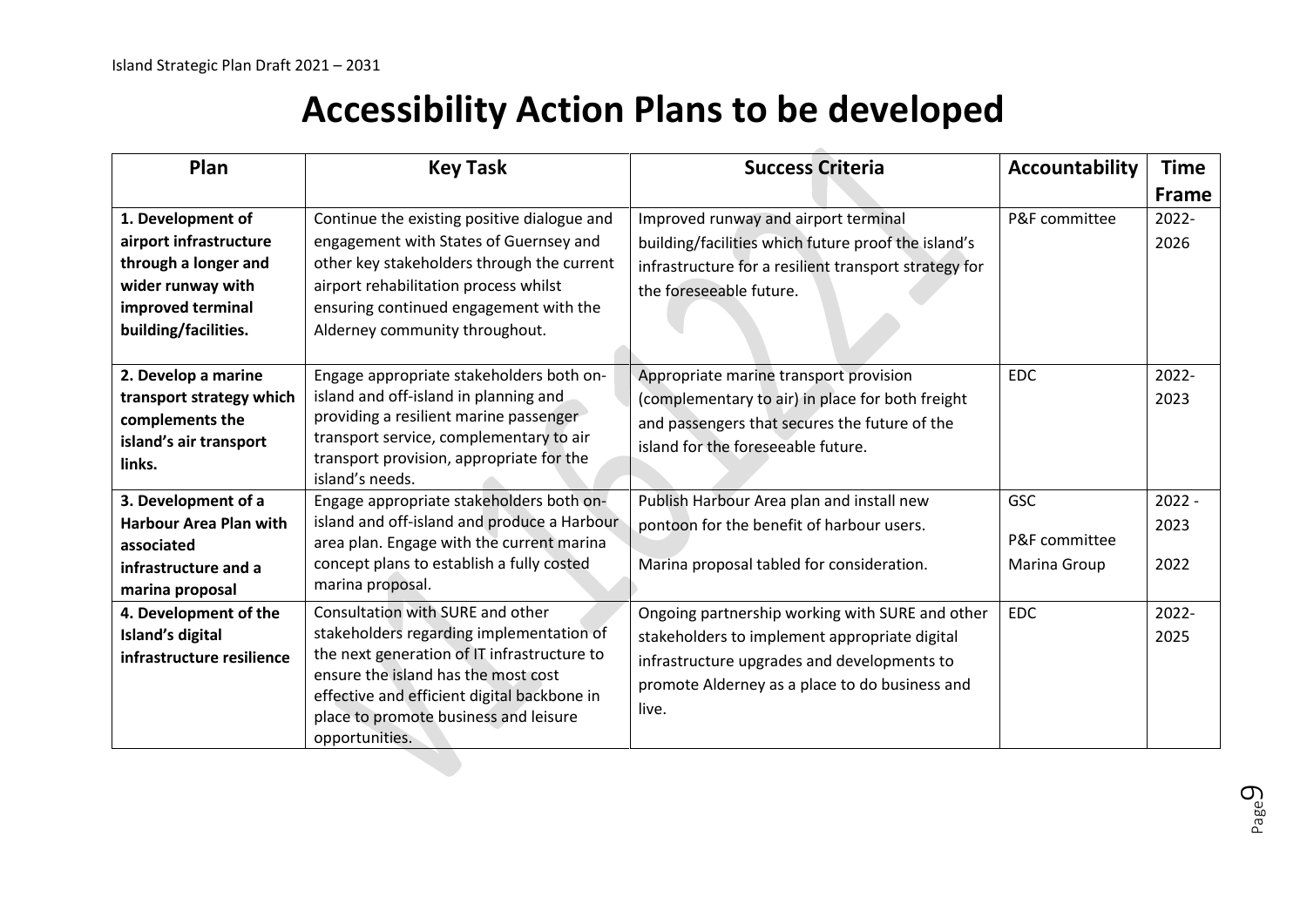### **Accessibility Action Plans to be developed**

| Plan                                                                                                                                  | <b>Key Task</b>                                                                                                                                                                                                                                                              | <b>Success Criteria</b>                                                                                                                                                                                    | <b>Accountability</b>                | <b>Time</b><br><b>Frame</b> |
|---------------------------------------------------------------------------------------------------------------------------------------|------------------------------------------------------------------------------------------------------------------------------------------------------------------------------------------------------------------------------------------------------------------------------|------------------------------------------------------------------------------------------------------------------------------------------------------------------------------------------------------------|--------------------------------------|-----------------------------|
| 1. Development of<br>airport infrastructure<br>through a longer and<br>wider runway with<br>improved terminal<br>building/facilities. | Continue the existing positive dialogue and<br>engagement with States of Guernsey and<br>other key stakeholders through the current<br>airport rehabilitation process whilst<br>ensuring continued engagement with the<br>Alderney community throughout.                     | Improved runway and airport terminal<br>building/facilities which future proof the island's<br>infrastructure for a resilient transport strategy for<br>the foreseeable future.                            | P&F committee                        | 2022-<br>2026               |
| 2. Develop a marine<br>transport strategy which<br>complements the<br>island's air transport<br>links.                                | Engage appropriate stakeholders both on-<br>island and off-island in planning and<br>providing a resilient marine passenger<br>transport service, complementary to air<br>transport provision, appropriate for the<br>island's needs.                                        | Appropriate marine transport provision<br>(complementary to air) in place for both freight<br>and passengers that secures the future of the<br>island for the foreseeable future.                          | <b>EDC</b>                           | 2022-<br>2023               |
| 3. Development of a<br><b>Harbour Area Plan with</b><br>associated<br>infrastructure and a<br>marina proposal                         | Engage appropriate stakeholders both on-<br>island and off-island and produce a Harbour<br>area plan. Engage with the current marina<br>concept plans to establish a fully costed<br>marina proposal.                                                                        | Publish Harbour Area plan and install new<br>pontoon for the benefit of harbour users.<br>Marina proposal tabled for consideration.                                                                        | GSC<br>P&F committee<br>Marina Group | $2022 -$<br>2023<br>2022    |
| 4. Development of the<br>Island's digital<br>infrastructure resilience                                                                | Consultation with SURE and other<br>stakeholders regarding implementation of<br>the next generation of IT infrastructure to<br>ensure the island has the most cost<br>effective and efficient digital backbone in<br>place to promote business and leisure<br>opportunities. | Ongoing partnership working with SURE and other<br>stakeholders to implement appropriate digital<br>infrastructure upgrades and developments to<br>promote Alderney as a place to do business and<br>live. | <b>EDC</b>                           | 2022-<br>2025               |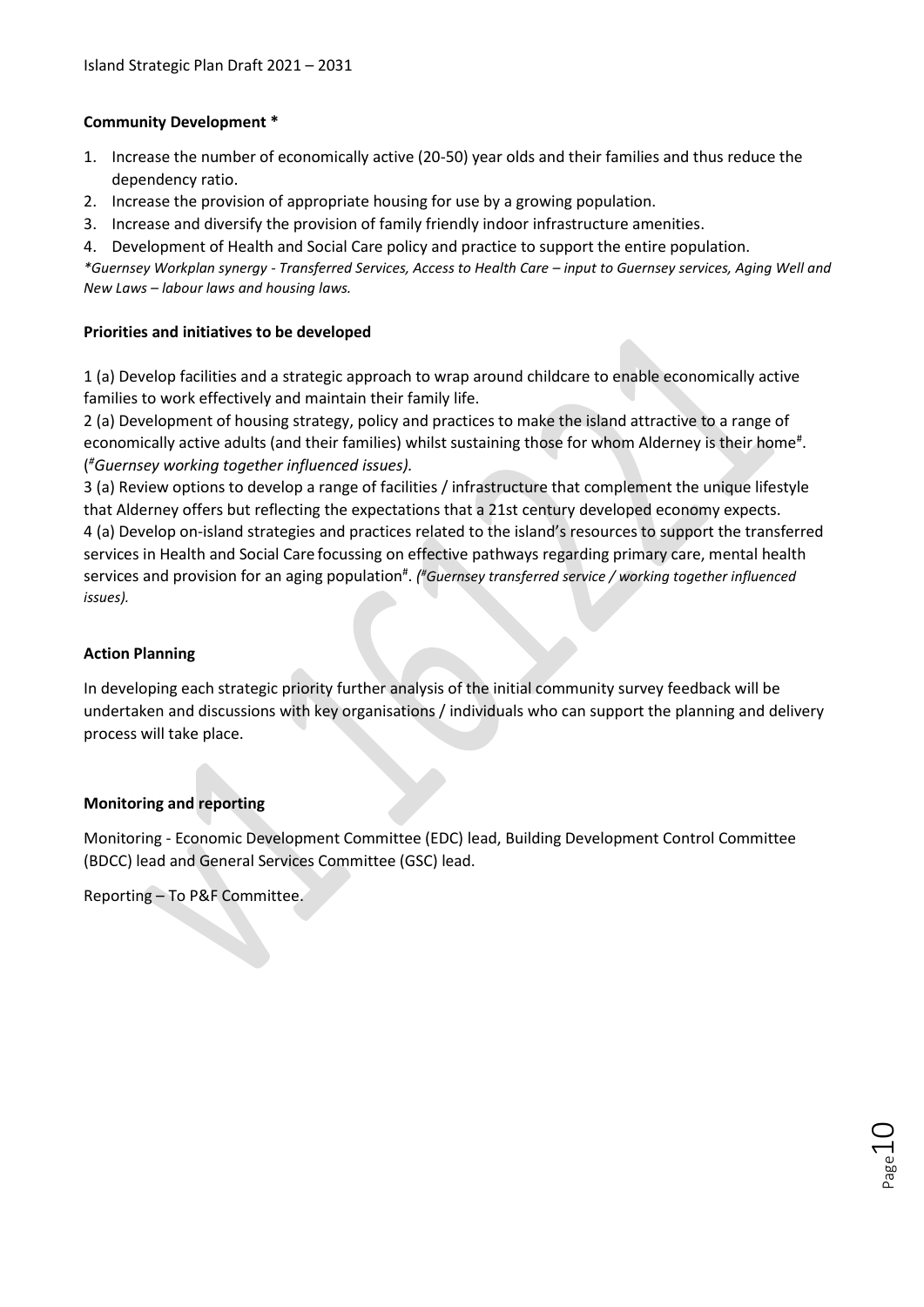#### **Community Development \***

- 1. Increase the number of economically active (20-50) year olds and their families and thus reduce the dependency ratio.
- 2. Increase the provision of appropriate housing for use by a growing population.
- 3. Increase and diversify the provision of family friendly indoor infrastructure amenities.
- 4. Development of Health and Social Care policy and practice to support the entire population.

*\*Guernsey Workplan synergy - Transferred Services, Access to Health Care – input to Guernsey services, Aging Well and New Laws – labour laws and housing laws.*

#### **Priorities and initiatives to be developed**

1 (a) Develop facilities and a strategic approach to wrap around childcare to enable economically active families to work effectively and maintain their family life.

2 (a) Development of housing strategy, policy and practices to make the island attractive to a range of economically active adults (and their families) whilst sustaining those for whom Alderney is their home<sup>#</sup>. ( *#Guernsey working together influenced issues).*

3 (a) Review options to develop a range of facilities / infrastructure that complement the unique lifestyle that Alderney offers but reflecting the expectations that a 21st century developed economy expects. 4 (a) Develop on-island strategies and practices related to the island's resources to support the transferred services in Health and Social Care focussing on effective pathways regarding primary care, mental health services and provision for an aging population<sup>#</sup>. (*#Guernsey transferred service / working together influenced issues).*

#### **Action Planning**

In developing each strategic priority further analysis of the initial community survey feedback will be undertaken and discussions with key organisations / individuals who can support the planning and delivery process will take place.

#### **Monitoring and reporting**

Monitoring - Economic Development Committee (EDC) lead, Building Development Control Committee (BDCC) lead and General Services Committee (GSC) lead.

Reporting – To P&F Committee.

 $D_{\sf age}10$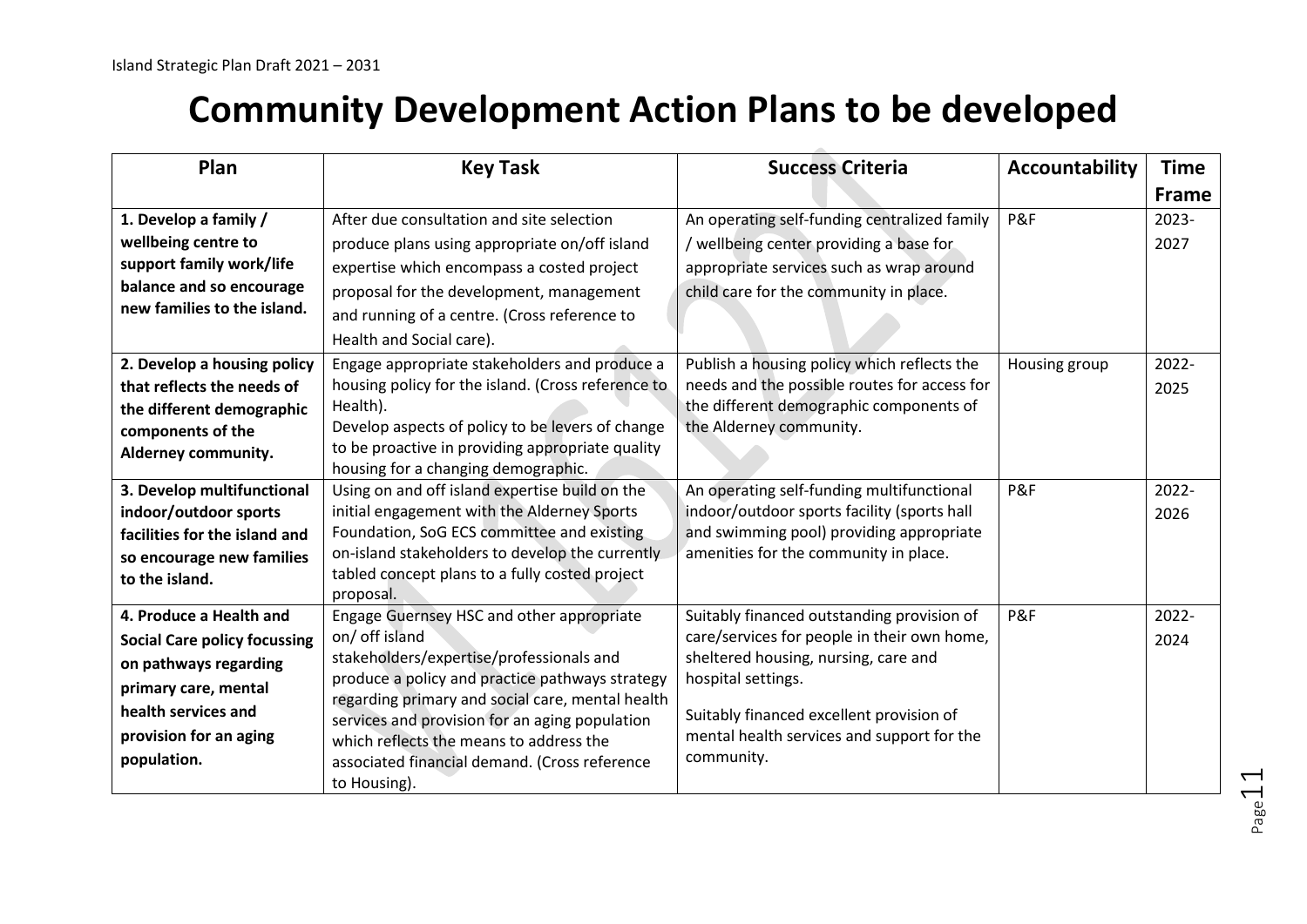## **Community Development Action Plans to be developed**

| Plan                                | <b>Key Task</b>                                                                         | <b>Success Criteria</b>                      | <b>Accountability</b> | <b>Time</b>  |
|-------------------------------------|-----------------------------------------------------------------------------------------|----------------------------------------------|-----------------------|--------------|
|                                     |                                                                                         |                                              |                       | <b>Frame</b> |
| 1. Develop a family /               | After due consultation and site selection                                               | An operating self-funding centralized family | P&F                   | 2023-        |
| wellbeing centre to                 | produce plans using appropriate on/off island                                           | / wellbeing center providing a base for      |                       | 2027         |
| support family work/life            | expertise which encompass a costed project                                              | appropriate services such as wrap around     |                       |              |
| balance and so encourage            | proposal for the development, management                                                | child care for the community in place.       |                       |              |
| new families to the island.         | and running of a centre. (Cross reference to                                            |                                              |                       |              |
|                                     | Health and Social care).                                                                |                                              |                       |              |
| 2. Develop a housing policy         | Engage appropriate stakeholders and produce a                                           | Publish a housing policy which reflects the  | Housing group         | 2022-        |
| that reflects the needs of          | housing policy for the island. (Cross reference to                                      | needs and the possible routes for access for |                       | 2025         |
| the different demographic           | Health).                                                                                | the different demographic components of      |                       |              |
| components of the                   | Develop aspects of policy to be levers of change                                        | the Alderney community.                      |                       |              |
| Alderney community.                 | to be proactive in providing appropriate quality<br>housing for a changing demographic. |                                              |                       |              |
| 3. Develop multifunctional          | Using on and off island expertise build on the                                          | An operating self-funding multifunctional    | P&F                   | 2022-        |
| indoor/outdoor sports               | initial engagement with the Alderney Sports                                             | indoor/outdoor sports facility (sports hall  |                       | 2026         |
| facilities for the island and       | Foundation, SoG ECS committee and existing                                              | and swimming pool) providing appropriate     |                       |              |
| so encourage new families           | on-island stakeholders to develop the currently                                         | amenities for the community in place.        |                       |              |
| to the island.                      | tabled concept plans to a fully costed project                                          |                                              |                       |              |
|                                     | proposal.                                                                               |                                              |                       |              |
| 4. Produce a Health and             | Engage Guernsey HSC and other appropriate                                               | Suitably financed outstanding provision of   | P&F                   | 2022-        |
| <b>Social Care policy focussing</b> | on/ off island                                                                          | care/services for people in their own home,  |                       | 2024         |
| on pathways regarding               | stakeholders/expertise/professionals and                                                | sheltered housing, nursing, care and         |                       |              |
| primary care, mental                | produce a policy and practice pathways strategy                                         | hospital settings.                           |                       |              |
| health services and                 | regarding primary and social care, mental health                                        | Suitably financed excellent provision of     |                       |              |
| provision for an aging              | services and provision for an aging population                                          | mental health services and support for the   |                       |              |
| population.                         | which reflects the means to address the                                                 | community.                                   |                       |              |
|                                     | associated financial demand. (Cross reference<br>to Housing).                           |                                              |                       |              |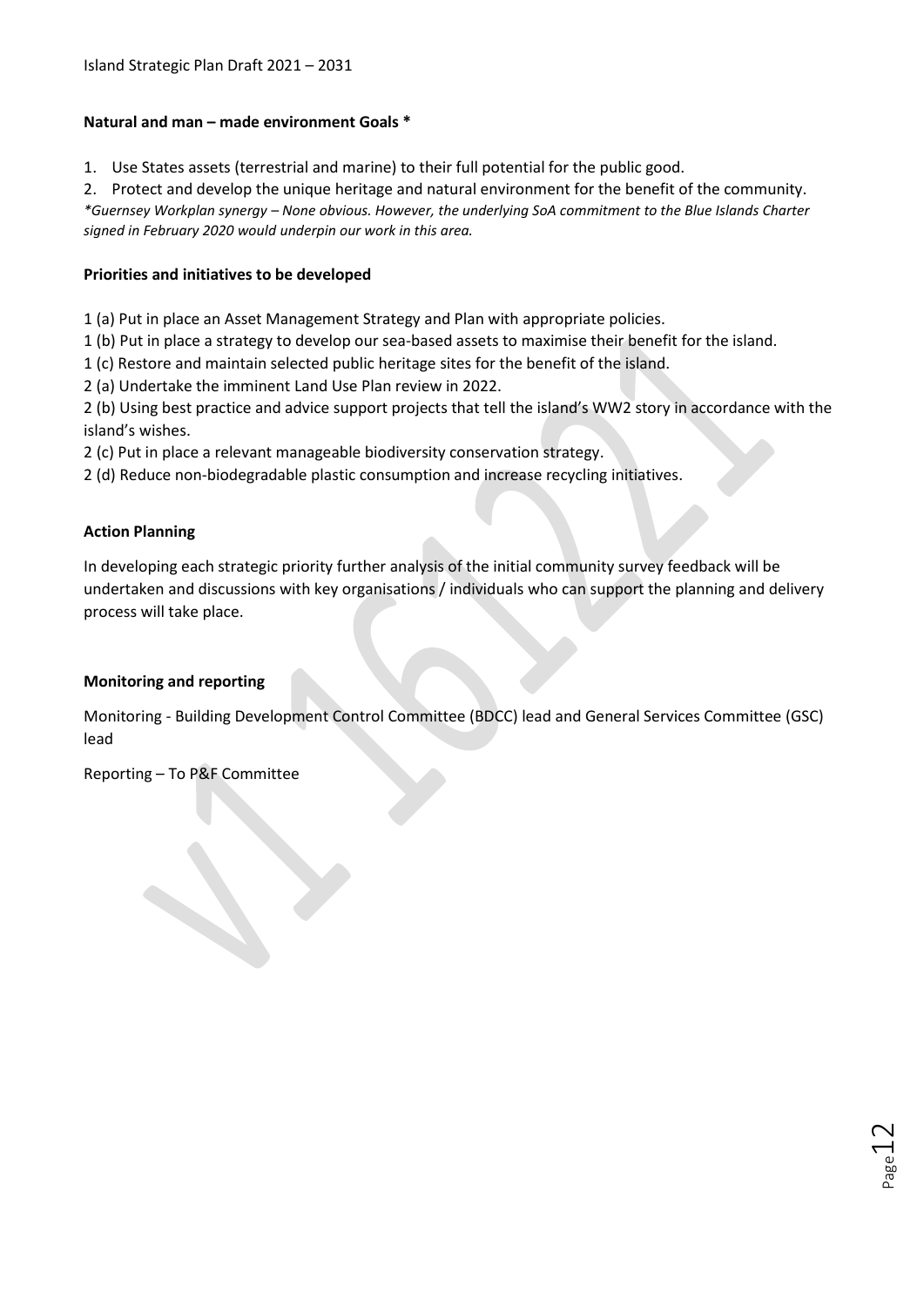#### **Natural and man – made environment Goals \***

1. Use States assets (terrestrial and marine) to their full potential for the public good.

2. Protect and develop the unique heritage and natural environment for the benefit of the community. *\*Guernsey Workplan synergy – None obvious. However, the underlying SoA commitment to the Blue Islands Charter signed in February 2020 would underpin our work in this area.*

#### **Priorities and initiatives to be developed**

1 (a) Put in place an Asset Management Strategy and Plan with appropriate policies.

1 (b) Put in place a strategy to develop our sea-based assets to maximise their benefit for the island.

1 (c) Restore and maintain selected public heritage sites for the benefit of the island.

2 (a) Undertake the imminent Land Use Plan review in 2022.

2 (b) Using best practice and advice support projects that tell the island's WW2 story in accordance with the island's wishes.

2 (c) Put in place a relevant manageable biodiversity conservation strategy.

2 (d) Reduce non-biodegradable plastic consumption and increase recycling initiatives.

#### **Action Planning**

In developing each strategic priority further analysis of the initial community survey feedback will be undertaken and discussions with key organisations / individuals who can support the planning and delivery process will take place.

#### **Monitoring and reporting**

Monitoring - Building Development Control Committee (BDCC) lead and General Services Committee (GSC) lead

Reporting – To P&F Committee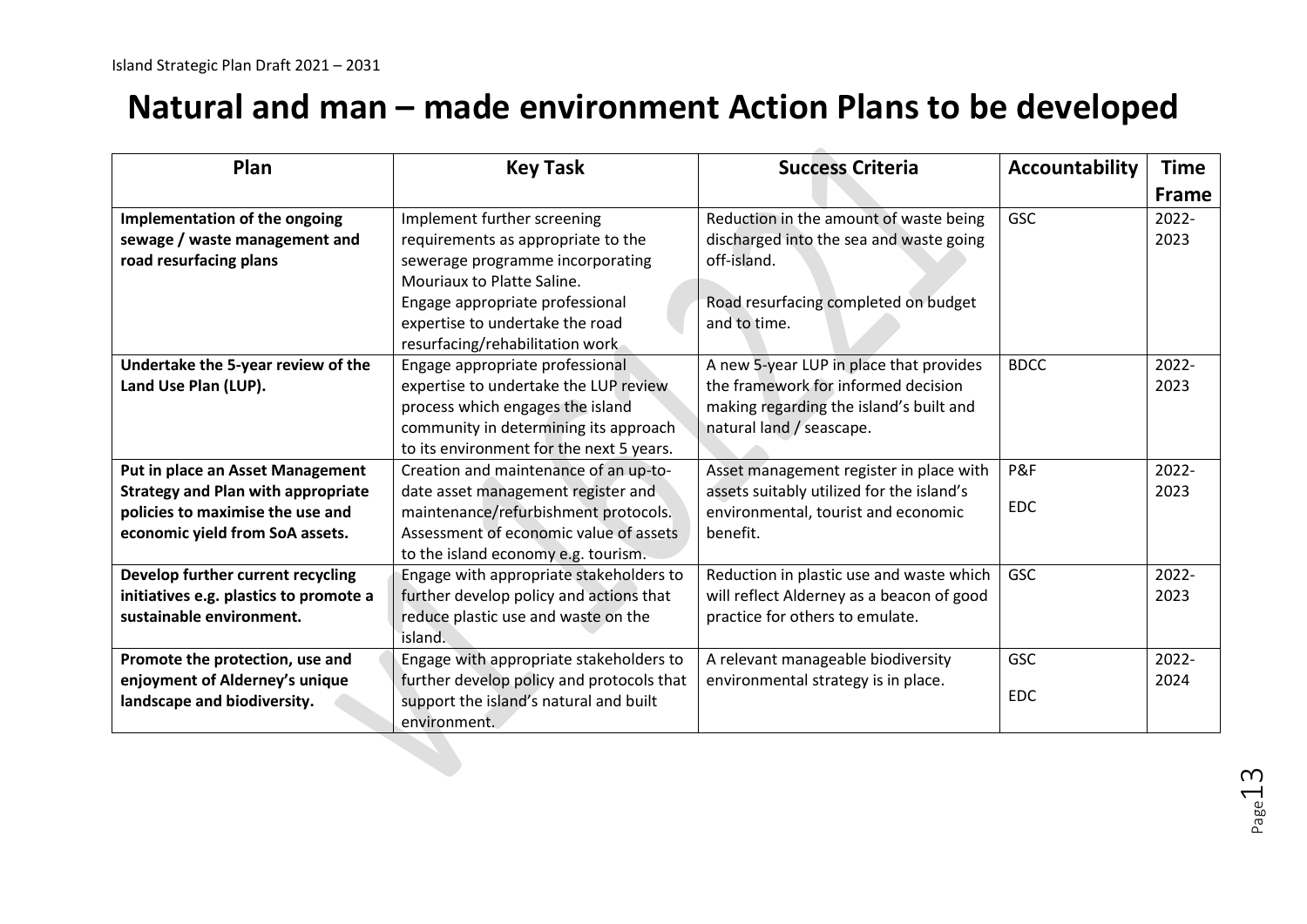### **Natural and man – made environment Action Plans to be developed**

| Plan                                                                                                                                                        | <b>Key Task</b>                                                                                                                                                                                                                              | <b>Success Criteria</b>                                                                                                                                  | Accountability           | <b>Time</b><br><b>Frame</b> |
|-------------------------------------------------------------------------------------------------------------------------------------------------------------|----------------------------------------------------------------------------------------------------------------------------------------------------------------------------------------------------------------------------------------------|----------------------------------------------------------------------------------------------------------------------------------------------------------|--------------------------|-----------------------------|
| Implementation of the ongoing<br>sewage / waste management and<br>road resurfacing plans                                                                    | Implement further screening<br>requirements as appropriate to the<br>sewerage programme incorporating<br>Mouriaux to Platte Saline.<br>Engage appropriate professional<br>expertise to undertake the road<br>resurfacing/rehabilitation work | Reduction in the amount of waste being<br>discharged into the sea and waste going<br>off-island.<br>Road resurfacing completed on budget<br>and to time. | <b>GSC</b>               | $2022 -$<br>2023            |
| Undertake the 5-year review of the<br>Land Use Plan (LUP).                                                                                                  | Engage appropriate professional<br>expertise to undertake the LUP review<br>process which engages the island<br>community in determining its approach<br>to its environment for the next 5 years.                                            | A new 5-year LUP in place that provides<br>the framework for informed decision<br>making regarding the island's built and<br>natural land / seascape.    | <b>BDCC</b>              | $2022 -$<br>2023            |
| <b>Put in place an Asset Management</b><br><b>Strategy and Plan with appropriate</b><br>policies to maximise the use and<br>economic yield from SoA assets. | Creation and maintenance of an up-to-<br>date asset management register and<br>maintenance/refurbishment protocols.<br>Assessment of economic value of assets<br>to the island economy e.g. tourism.                                         | Asset management register in place with<br>assets suitably utilized for the island's<br>environmental, tourist and economic<br>benefit.                  | P&F<br>EDC.              | 2022-<br>2023               |
| Develop further current recycling<br>initiatives e.g. plastics to promote a<br>sustainable environment.                                                     | Engage with appropriate stakeholders to<br>further develop policy and actions that<br>reduce plastic use and waste on the<br>island.                                                                                                         | Reduction in plastic use and waste which<br>will reflect Alderney as a beacon of good<br>practice for others to emulate.                                 | <b>GSC</b>               | $2022 -$<br>2023            |
| Promote the protection, use and<br>enjoyment of Alderney's unique<br>landscape and biodiversity.                                                            | Engage with appropriate stakeholders to<br>further develop policy and protocols that<br>support the island's natural and built<br>environment.                                                                                               | A relevant manageable biodiversity<br>environmental strategy is in place.                                                                                | <b>GSC</b><br><b>EDC</b> | 2022-<br>2024               |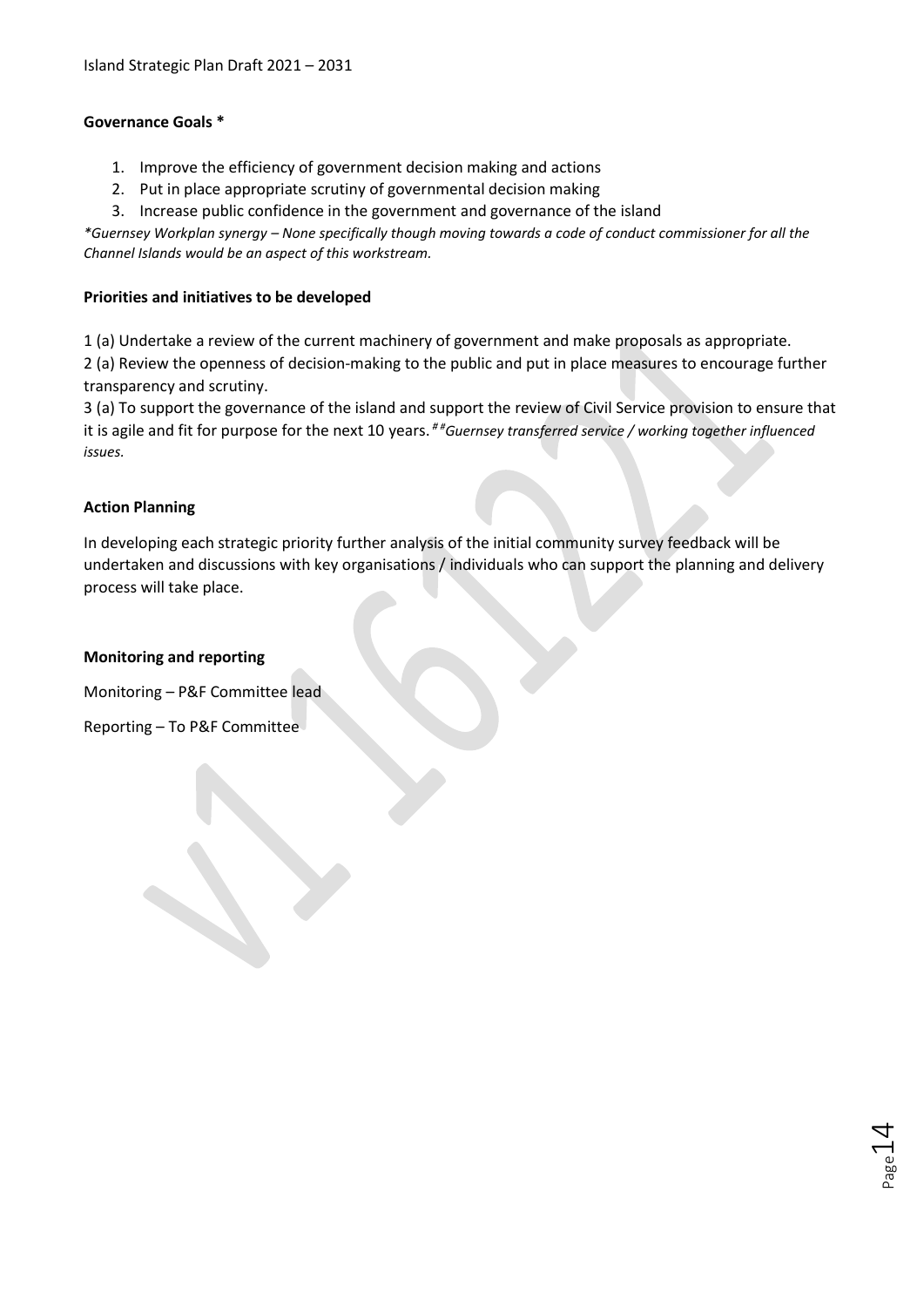#### **Governance Goals \***

- 1. Improve the efficiency of government decision making and actions
- 2. Put in place appropriate scrutiny of governmental decision making
- 3. Increase public confidence in the government and governance of the island

*\*Guernsey Workplan synergy – None specifically though moving towards a code of conduct commissioner for all the Channel Islands would be an aspect of this workstream.*

#### **Priorities and initiatives to be developed**

1 (a) Undertake a review of the current machinery of government and make proposals as appropriate.

2 (a) Review the openness of decision-making to the public and put in place measures to encourage further transparency and scrutiny.

3 (a) To support the governance of the island and support the review of Civil Service provision to ensure that it is agile and fit for purpose for the next 10 years. *# #Guernsey transferred service / working together influenced issues.*

#### **Action Planning**

In developing each strategic priority further analysis of the initial community survey feedback will be undertaken and discussions with key organisations / individuals who can support the planning and delivery process will take place.

 $P_{\rm age}14$ 

#### **Monitoring and reporting**

Monitoring – P&F Committee lead

Reporting – To P&F Committee